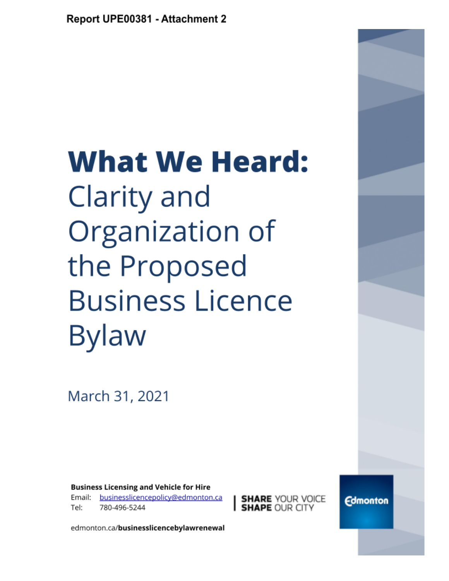# **What We Heard:** Clarity and Organization of the Proposed **Business Licence Bylaw**

March 31, 2021

**Business Licensing and Vehicle for Hire** businesslicencepolicy@edmonton.ca Email: Tel: 780-496-5244

**SHARE** YOUR VOICE

**Edmonton** 

edmonton.ca/businesslicencebylawrenewal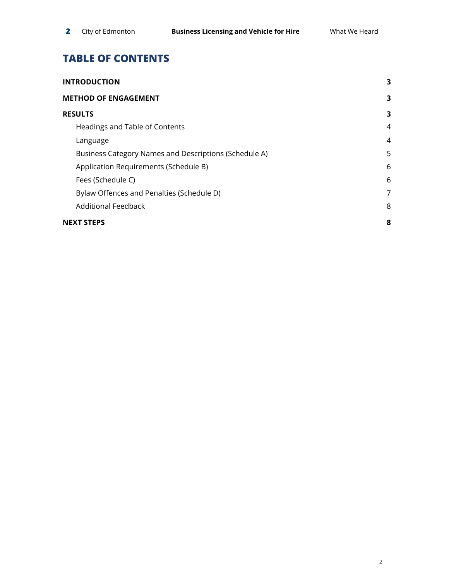# **TABLE OF CONTENTS**

| <b>INTRODUCTION</b>                                   | 3 |
|-------------------------------------------------------|---|
| <b>METHOD OF ENGAGEMENT</b>                           | 3 |
| <b>RESULTS</b>                                        | 3 |
| Headings and Table of Contents                        | 4 |
| Language                                              | 4 |
| Business Category Names and Descriptions (Schedule A) | 5 |
| Application Requirements (Schedule B)                 | 6 |
| Fees (Schedule C)                                     | 6 |
| Bylaw Offences and Penalties (Schedule D)             | 7 |
| <b>Additional Feedback</b>                            | 8 |
| <b>NEXT STEPS</b>                                     | 8 |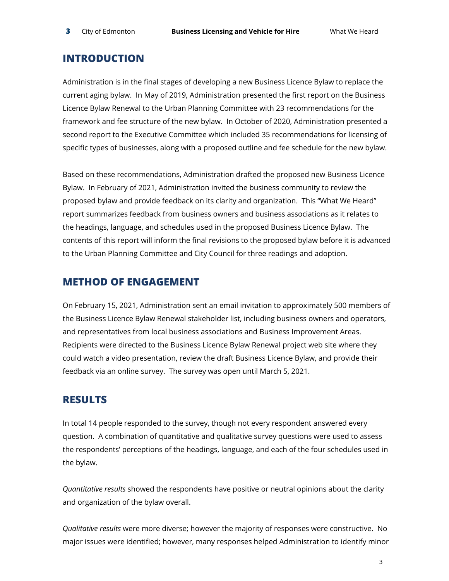## <span id="page-2-0"></span>**INTRODUCTION**

Administration is in the final stages of developing a new Business Licence Bylaw to replace the current aging bylaw. In May of 2019, Administration presented the first report on the Business Licence Bylaw Renewal to the Urban Planning Committee with 23 recommendations for the framework and fee structure of the new bylaw. In October of 2020, Administration presented a second report to the Executive Committee which included 35 recommendations for licensing of specific types of businesses, along with a proposed outline and fee schedule for the new bylaw.

Based on these recommendations, Administration drafted the proposed new Business Licence Bylaw. In February of 2021, Administration invited the business community to review the proposed bylaw and provide feedback on its clarity and organization. This "What We Heard" report summarizes feedback from business owners and business associations as it relates to the headings, language, and schedules used in the proposed Business Licence Bylaw. The contents of this report will inform the final revisions to the proposed bylaw before it is advanced to the Urban Planning Committee and City Council for three readings and adoption.

### <span id="page-2-1"></span>**METHOD OF ENGAGEMENT**

On February 15, 2021, Administration sent an email invitation to approximately 500 members of the Business Licence Bylaw Renewal stakeholder list, including business owners and operators, and representatives from local business associations and Business Improvement Areas. Recipients were directed to the Business Licence Bylaw Renewal project web site where they could watch a video presentation, review the draft Business Licence Bylaw, and provide their feedback via an online survey. The survey was open until March 5, 2021.

## <span id="page-2-2"></span>**RESULTS**

In total 14 people responded to the survey, though not every respondent answered every question. A combination of quantitative and qualitative survey questions were used to assess the respondents' perceptions of the headings, language, and each of the four schedules used in the bylaw.

*Quantitative results* showed the respondents have positive or neutral opinions about the clarity and organization of the bylaw overall.

*Qualitative results* were more diverse; however the majority of responses were constructive. No major issues were identified; however, many responses helped Administration to identify minor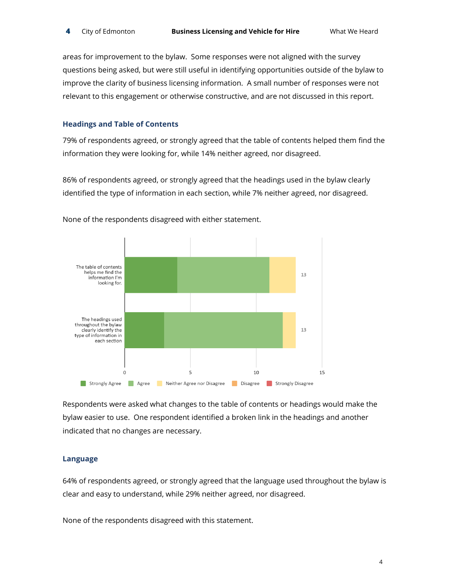areas for improvement to the bylaw. Some responses were not aligned with the survey questions being asked, but were still useful in identifying opportunities outside of the bylaw to improve the clarity of business licensing information. A small number of responses were not relevant to this engagement or otherwise constructive, and are not discussed in this report.

#### <span id="page-3-0"></span>**Headings and Table of Contents**

79% of respondents agreed, or strongly agreed that the table of contents helped them find the information they were looking for, while 14% neither agreed, nor disagreed.

86% of respondents agreed, or strongly agreed that the headings used in the bylaw clearly identified the type of information in each section, while 7% neither agreed, nor disagreed.



None of the respondents disagreed with either statement.

Respondents were asked what changes to the table of contents or headings would make the bylaw easier to use. One respondent identified a broken link in the headings and another indicated that no changes are necessary.

#### <span id="page-3-1"></span>**Language**

64% of respondents agreed, or strongly agreed that the language used throughout the bylaw is clear and easy to understand, while 29% neither agreed, nor disagreed.

None of the respondents disagreed with this statement.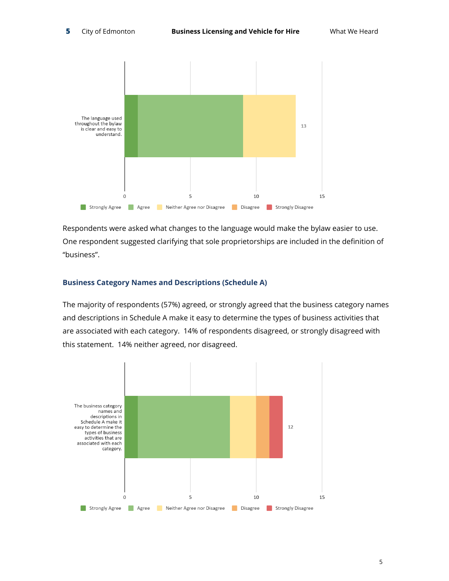

Respondents were asked what changes to the language would make the bylaw easier to use. One respondent suggested clarifying that sole proprietorships are included in the definition of "business".

#### <span id="page-4-0"></span>**Business Category Names and Descriptions (Schedule A)**

The majority of respondents (57%) agreed, or strongly agreed that the business category names and descriptions in Schedule A make it easy to determine the types of business activities that are associated with each category. 14% of respondents disagreed, or strongly disagreed with this statement. 14% neither agreed, nor disagreed.

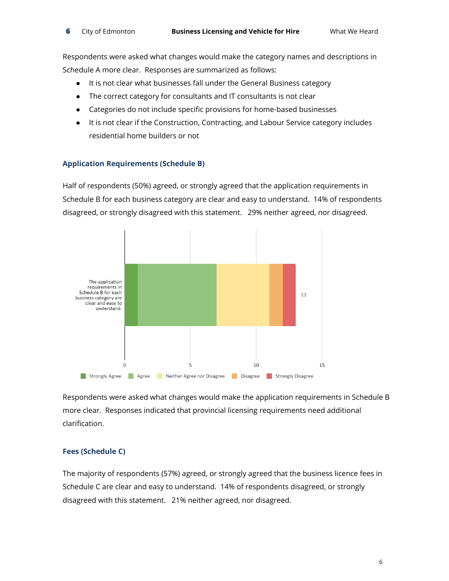Respondents were asked what changes would make the category names and descriptions in Schedule A more clear. Responses are summarized as follows:

- It is not clear what businesses fall under the General Business category
- The correct category for consultants and IT consultants is not clear
- Categories do not include specific provisions for home-based businesses
- It is not clear if the Construction, Contracting, and Labour Service category includes residential home builders or not

#### <span id="page-5-0"></span>**Application Requirements (Schedule B)**

Half of respondents (50%) agreed, or strongly agreed that the application requirements in Schedule B for each business category are clear and easy to understand. 14% of respondents disagreed, or strongly disagreed with this statement. 29% neither agreed, nor disagreed.



Respondents were asked what changes would make the application requirements in Schedule B more clear. Responses indicated that provincial licensing requirements need additional clarification.

#### <span id="page-5-1"></span>**Fees (Schedule C)**

The majority of respondents (57%) agreed, or strongly agreed that the business licence fees in Schedule C are clear and easy to understand. 14% of respondents disagreed, or strongly disagreed with this statement. 21% neither agreed, nor disagreed.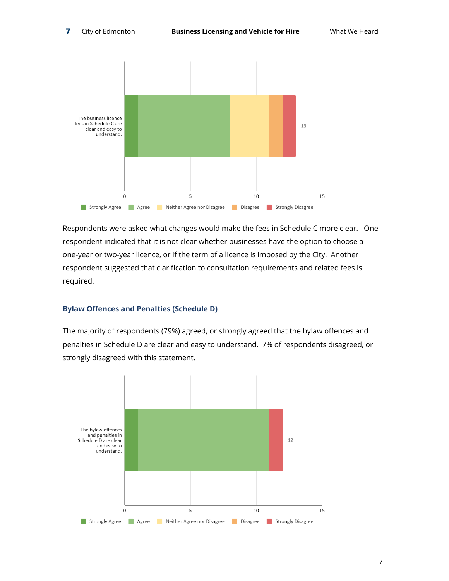

Respondents were asked what changes would make the fees in Schedule C more clear. One respondent indicated that it is not clear whether businesses have the option to choose a one-year or two-year licence, or if the term of a licence is imposed by the City. Another respondent suggested that clarification to consultation requirements and related fees is required.

#### <span id="page-6-0"></span>**Bylaw Offences and Penalties (Schedule D)**

The majority of respondents (79%) agreed, or strongly agreed that the bylaw offences and penalties in Schedule D are clear and easy to understand. 7% of respondents disagreed, or strongly disagreed with this statement.